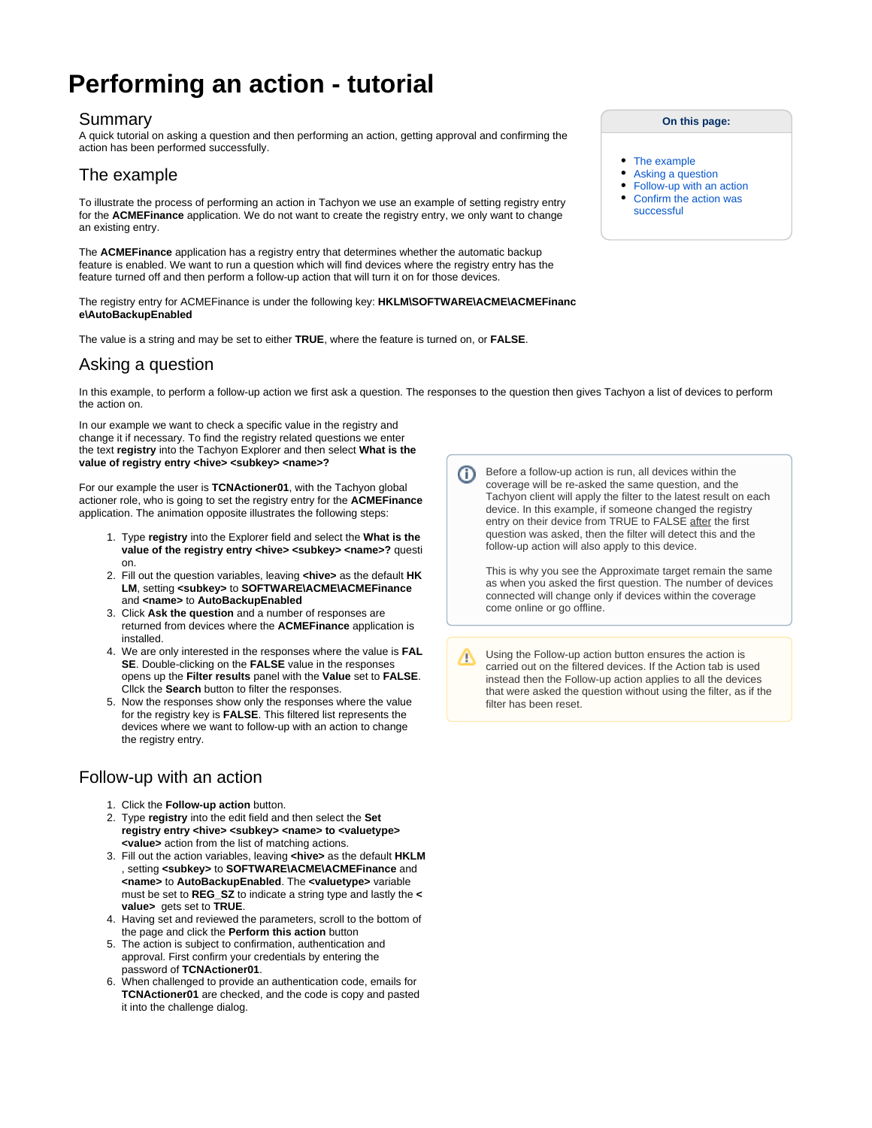# **Performing an action - tutorial**

#### Summary

A quick tutorial on asking a question and then performing an action, getting approval and confirming the action has been performed successfully.

# <span id="page-0-0"></span>The example

To illustrate the process of performing an action in Tachyon we use an example of setting registry entry for the **ACMEFinance** application. We do not want to create the registry entry, we only want to change an existing entry.

The **ACMEFinance** application has a registry entry that determines whether the automatic backup feature is enabled. We want to run a question which will find devices where the registry entry has the feature turned off and then perform a follow-up action that will turn it on for those devices.

The registry entry for ACMEFinance is under the following key: **HKLM\SOFTWARE\ACME\ACMEFinanc e\AutoBackupEnabled**

The value is a string and may be set to either **TRUE**, where the feature is turned on, or **FALSE**.

# <span id="page-0-1"></span>Asking a question

In this example, to perform a follow-up action we first ask a question. The responses to the question then gives Tachyon a list of devices to perform the action on.

In our example we want to check a specific value in the registry and change it if necessary. To find the registry related questions we enter the text **registry** into the Tachyon Explorer and then select **What is the**  value of registry entry <hive> <subkey> <name>?

For our example the user is **TCNActioner01**, with the Tachyon global actioner role, who is going to set the registry entry for the **ACMEFinance** application. The animation opposite illustrates the following steps:

- 1. Type **registry** into the Explorer field and select the **What is the**  value of the registry entry <hive> <subkey> <name>? questi on.
- 2. Fill out the question variables, leaving **<hive>** as the default **HK LM**, setting **<subkey>** to **SOFTWARE\ACME\ACMEFinance** and **<name>** to **AutoBackupEnabled**
- 3. Click **Ask the question** and a number of responses are returned from devices where the **ACMEFinance** application is installed.
- 4. We are only interested in the responses where the value is **FAL SE**. Double-clicking on the **FALSE** value in the responses opens up the **Filter results** panel with the **Value** set to **FALSE**. Cllck the **Search** button to filter the responses.
- 5. Now the responses show only the responses where the value for the registry key is **FALSE**. This filtered list represents the devices where we want to follow-up with an action to change the registry entry.

## <span id="page-0-2"></span>Follow-up with an action

- 1. Click the **Follow-up action** button.
- 2. Type **registry** into the edit field and then select the **Set registry entry <hive> <subkey> <name> to <valuetype> <value>** action from the list of matching actions.
- 3. Fill out the action variables, leaving **<hive>** as the default **HKLM** , setting **<subkey>** to **SOFTWARE\ACME\ACMEFinance** and **<name>** to **AutoBackupEnabled**. The **<valuetype>** variable must be set to **REG\_SZ** to indicate a string type and lastly the **< value>** gets set to **TRUE**.
- 4. Having set and reviewed the parameters, scroll to the bottom of the page and click the **Perform this action** button
- 5. The action is subject to confirmation, authentication and approval. First confirm your credentials by entering the password of **TCNActioner01**.
- 6. When challenged to provide an authentication code, emails for **TCNActioner01** are checked, and the code is copy and pasted it into the challenge dialog.

Before a follow-up action is run, all devices within the G) coverage will be re-asked the same question, and the Tachyon client will apply the filter to the latest result on each device. In this example, if someone changed the registry entry on their device from TRUE to FALSE after the first question was asked, then the filter will detect this and the follow-up action will also apply to this device.

This is why you see the Approximate target remain the same as when you asked the first question. The number of devices connected will change only if devices within the coverage come online or go offline.

Using the Follow-up action button ensures the action is Λ carried out on the filtered devices. If the Action tab is used instead then the Follow-up action applies to all the devices that were asked the question without using the filter, as if the filter has been reset.

#### **On this page:**

- $\bullet$ [The example](#page-0-0)
- [Asking a question](#page-0-1)
- [Follow-up with an action](#page-0-2)
- [Confirm the action was](#page-1-0)  [successful](#page-1-0)